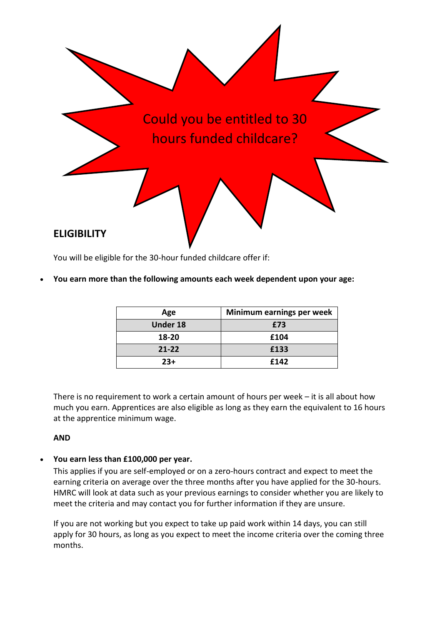

You will be eligible for the 30-hour funded childcare offer if:

• **You earn more than the following amounts each week dependent upon your age:**

| Age             | Minimum earnings per week |  |
|-----------------|---------------------------|--|
| <b>Under 18</b> | £73                       |  |
| 18-20           | £104                      |  |
| $21 - 22$       | £133                      |  |
| $23+$           | £142                      |  |

There is no requirement to work a certain amount of hours per week – it is all about how much you earn. Apprentices are also eligible as long as they earn the equivalent to 16 hours at the apprentice minimum wage.

#### **AND**

• **You earn less than £100,000 per year.**

This applies if you are self-employed or on a zero-hours contract and expect to meet the earning criteria on average over the three months after you have applied for the 30-hours. HMRC will look at data such as your previous earnings to consider whether you are likely to meet the criteria and may contact you for further information if they are unsure.

If you are not working but you expect to take up paid work within 14 days, you can still apply for 30 hours, as long as you expect to meet the income criteria over the coming three months.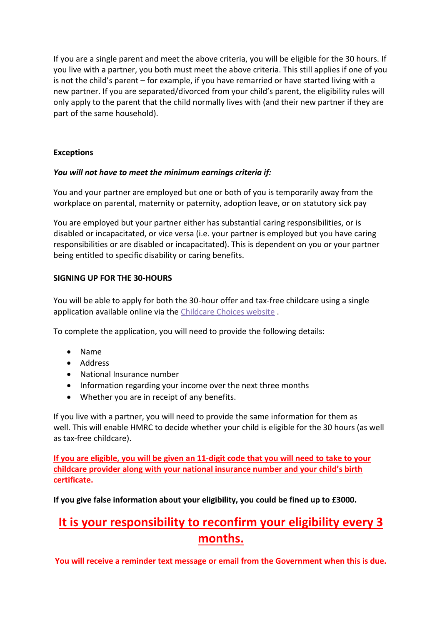If you are a single parent and meet the above criteria, you will be eligible for the 30 hours. If you live with a partner, you both must meet the above criteria. This still applies if one of you is not the child's parent – for example, if you have remarried or have started living with a new partner. If you are separated/divorced from your child's parent, the eligibility rules will only apply to the parent that the child normally lives with (and their new partner if they are part of the same household).

## **Exceptions**

### *You will not have to meet the minimum earnings criteria if:*

You and your partner are employed but one or both of you is temporarily away from the workplace on parental, maternity or paternity, adoption leave, or on statutory sick pay

You are employed but your partner either has substantial caring responsibilities, or is disabled or incapacitated, or vice versa (i.e. your partner is employed but you have caring responsibilities or are disabled or incapacitated). This is dependent on you or your partner being entitled to specific disability or caring benefits.

### **SIGNING UP FOR THE 30-HOURS**

You will be able to apply for both the 30-hour offer and tax-free childcare using a single application available online via the [Childcare Choices website](https://www.childcarechoices.gov.uk/).

To complete the application, you will need to provide the following details:

- Name
- Address
- National Insurance number
- Information regarding your income over the next three months
- Whether you are in receipt of any benefits.

If you live with a partner, you will need to provide the same information for them as well. This will enable HMRC to decide whether your child is eligible for the 30 hours (as well as tax-free childcare).

**If you are eligible, you will be given an 11-digit code that you will need to take to your childcare provider along with your national insurance number and your child's birth certificate.**

**If you give false information about your eligibility, you could be fined up to £3000.** 

# **It is your responsibility to reconfirm your eligibility every 3 months.**

**You will receive a reminder text message or email from the Government when this is due.**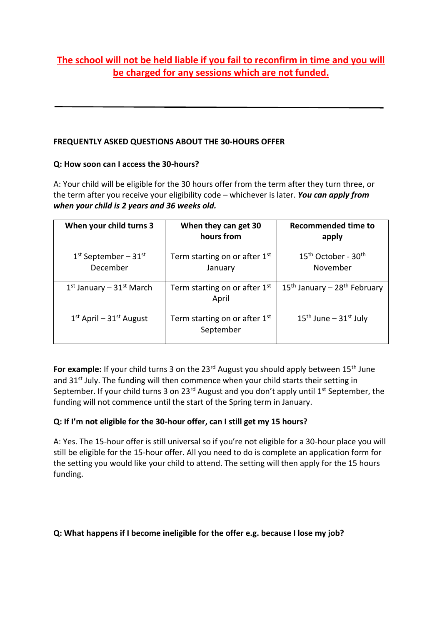# **The school will not be held liable if you fail to reconfirm in time and you will be charged for any sessions which are not funded.**

# **FREQUENTLY ASKED QUESTIONS ABOUT THE 30-HOURS OFFER**

# **Q: How soon can I access the 30-hours?**

A: Your child will be eligible for the 30 hours offer from the term after they turn three, or the term after you receive your eligibility code – whichever is later. *You can apply from when your child is 2 years and 36 weeks old.*

| When your child turns 3              | When they can get 30<br>hours from           | Recommended time to<br>apply                            |
|--------------------------------------|----------------------------------------------|---------------------------------------------------------|
| $1st$ September – $31st$<br>December | Term starting on or after $1st$<br>January   | 15 <sup>th</sup> October - 30 <sup>th</sup><br>November |
| $1st$ January – $31st$ March         | Term starting on or after $1st$<br>April     | $15th$ January – 28 <sup>th</sup> February              |
| $1st$ April – $31st$ August          | Term starting on or after $1st$<br>September | $15th$ June – $31st$ July                               |

For example: If your child turns 3 on the 23<sup>rd</sup> August you should apply between 15<sup>th</sup> June and 31<sup>st</sup> July. The funding will then commence when your child starts their setting in September. If your child turns 3 on  $23^{rd}$  August and you don't apply until  $1^{st}$  September, the funding will not commence until the start of the Spring term in January.

# **Q: If I'm not eligible for the 30-hour offer, can I still get my 15 hours?**

A: Yes. The 15-hour offer is still universal so if you're not eligible for a 30-hour place you will still be eligible for the 15-hour offer. All you need to do is complete an application form for the setting you would like your child to attend. The setting will then apply for the 15 hours funding.

# **Q: What happens if I become ineligible for the offer e.g. because I lose my job?**